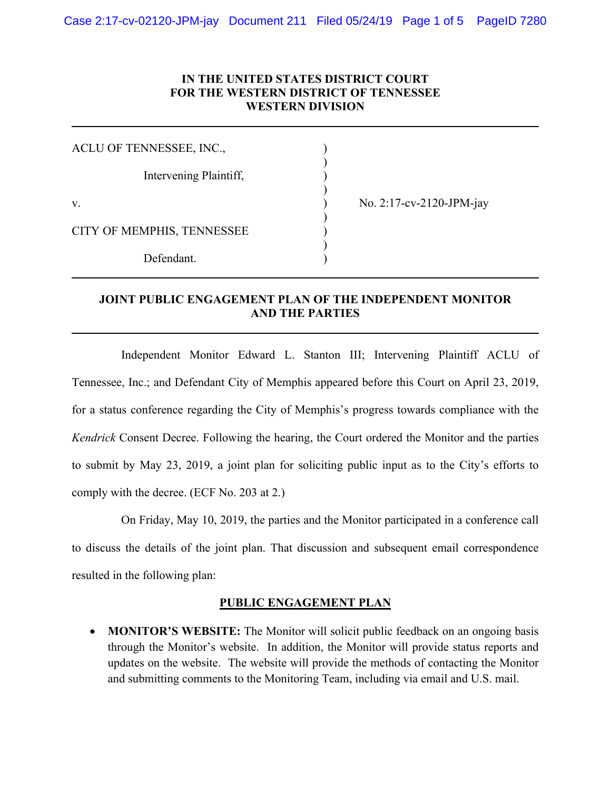### **IN THE UNITED STATES DISTRICT COURT FOR THE WESTERN DISTRICT OF TENNESSEE WESTERN DIVISION**

| ACLU OF TENNESSEE, INC.,   |  |  |
|----------------------------|--|--|
| Intervening Plaintiff,     |  |  |
| V.                         |  |  |
| CITY OF MEMPHIS, TENNESSEE |  |  |
| Defendant.                 |  |  |

No. 2:17-cv-2120-JPM-jay

## **JOINT PUBLIC ENGAGEMENT PLAN OF THE INDEPENDENT MONITOR AND THE PARTIES**

Independent Monitor Edward L. Stanton III; Intervening Plaintiff ACLU of Tennessee, Inc.; and Defendant City of Memphis appeared before this Court on April 23, 2019, for a status conference regarding the City of Memphis's progress towards compliance with the *Kendrick* Consent Decree. Following the hearing, the Court ordered the Monitor and the parties to submit by May 23, 2019, a joint plan for soliciting public input as to the City's efforts to comply with the decree. (ECF No. 203 at 2.)

On Friday, May 10, 2019, the parties and the Monitor participated in a conference call to discuss the details of the joint plan. That discussion and subsequent email correspondence resulted in the following plan:

#### **PUBLIC ENGAGEMENT PLAN**

 **MONITOR'S WEBSITE:** The Monitor will solicit public feedback on an ongoing basis through the Monitor's website. In addition, the Monitor will provide status reports and updates on the website. The website will provide the methods of contacting the Monitor and submitting comments to the Monitoring Team, including via email and U.S. mail.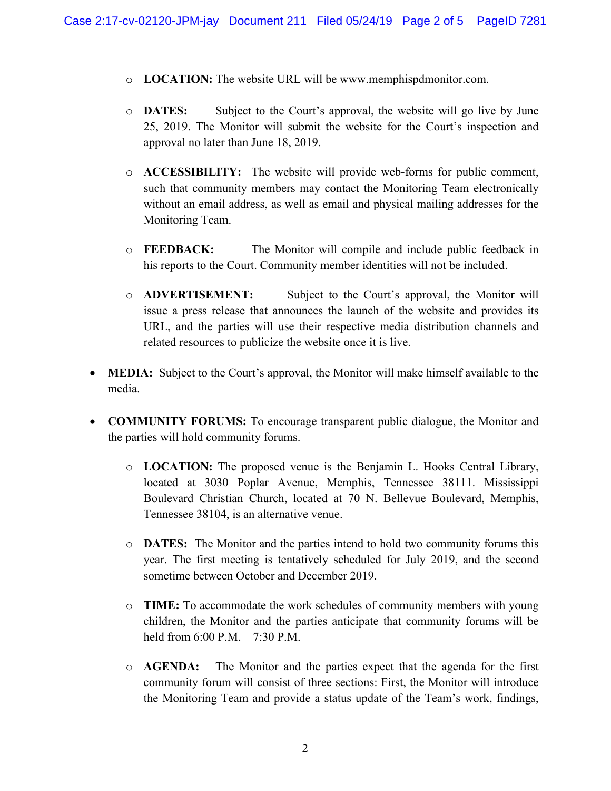- o **LOCATION:** The website URL will be www.memphispdmonitor.com.
- o **DATES:** Subject to the Court's approval, the website will go live by June 25, 2019. The Monitor will submit the website for the Court's inspection and approval no later than June 18, 2019.
- o **ACCESSIBILITY:** The website will provide web-forms for public comment, such that community members may contact the Monitoring Team electronically without an email address, as well as email and physical mailing addresses for the Monitoring Team.
- o **FEEDBACK:** The Monitor will compile and include public feedback in his reports to the Court. Community member identities will not be included.
- o **ADVERTISEMENT:** Subject to the Court's approval, the Monitor will issue a press release that announces the launch of the website and provides its URL, and the parties will use their respective media distribution channels and related resources to publicize the website once it is live.
- **MEDIA:** Subject to the Court's approval, the Monitor will make himself available to the media.
- **COMMUNITY FORUMS:** To encourage transparent public dialogue, the Monitor and the parties will hold community forums.
	- o **LOCATION:** The proposed venue is the Benjamin L. Hooks Central Library, located at 3030 Poplar Avenue, Memphis, Tennessee 38111. Mississippi Boulevard Christian Church, located at 70 N. Bellevue Boulevard, Memphis, Tennessee 38104, is an alternative venue.
	- o **DATES:** The Monitor and the parties intend to hold two community forums this year. The first meeting is tentatively scheduled for July 2019, and the second sometime between October and December 2019.
	- o **TIME:** To accommodate the work schedules of community members with young children, the Monitor and the parties anticipate that community forums will be held from 6:00 P.M. – 7:30 P.M.
	- o **AGENDA:** The Monitor and the parties expect that the agenda for the first community forum will consist of three sections: First, the Monitor will introduce the Monitoring Team and provide a status update of the Team's work, findings,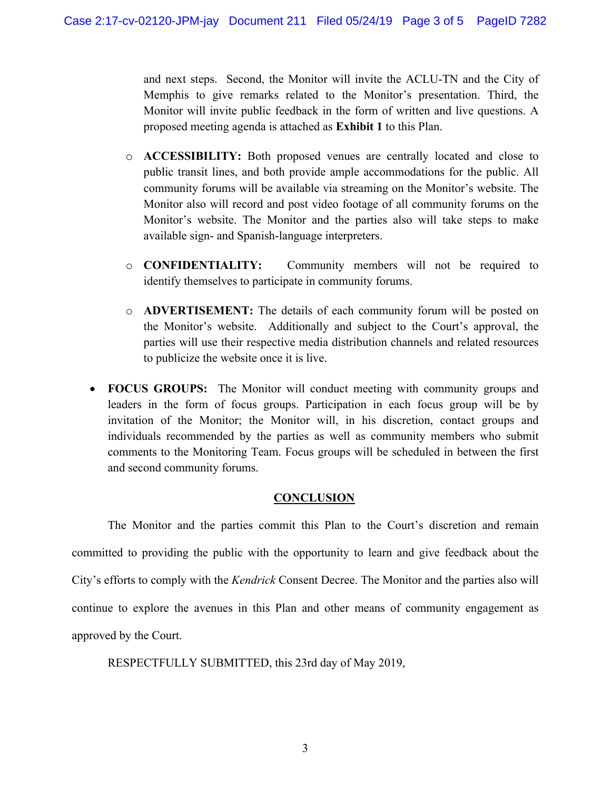and next steps. Second, the Monitor will invite the ACLU-TN and the City of Memphis to give remarks related to the Monitor's presentation. Third, the Monitor will invite public feedback in the form of written and live questions. A proposed meeting agenda is attached as **Exhibit 1** to this Plan.

- o **ACCESSIBILITY:** Both proposed venues are centrally located and close to public transit lines, and both provide ample accommodations for the public. All community forums will be available via streaming on the Monitor's website. The Monitor also will record and post video footage of all community forums on the Monitor's website. The Monitor and the parties also will take steps to make available sign- and Spanish-language interpreters.
- o **CONFIDENTIALITY:** Community members will not be required to identify themselves to participate in community forums.
- o **ADVERTISEMENT:** The details of each community forum will be posted on the Monitor's website. Additionally and subject to the Court's approval, the parties will use their respective media distribution channels and related resources to publicize the website once it is live.
- **FOCUS GROUPS:** The Monitor will conduct meeting with community groups and leaders in the form of focus groups. Participation in each focus group will be by invitation of the Monitor; the Monitor will, in his discretion, contact groups and individuals recommended by the parties as well as community members who submit comments to the Monitoring Team. Focus groups will be scheduled in between the first and second community forums.

#### **CONCLUSION**

The Monitor and the parties commit this Plan to the Court's discretion and remain committed to providing the public with the opportunity to learn and give feedback about the City's efforts to comply with the *Kendrick* Consent Decree. The Monitor and the parties also will continue to explore the avenues in this Plan and other means of community engagement as approved by the Court.

RESPECTFULLY SUBMITTED, this 23rd day of May 2019,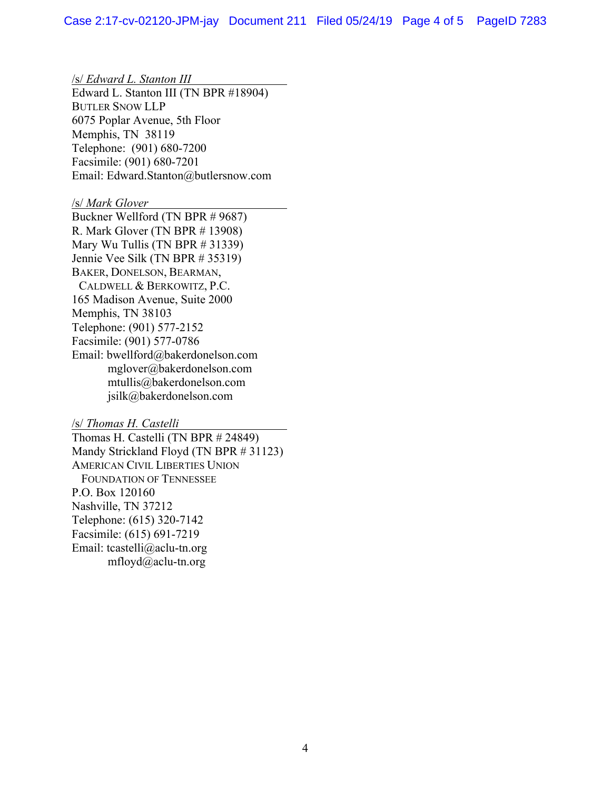/s/ *Edward L. Stanton III* Edward L. Stanton III (TN BPR #18904) BUTLER SNOW LLP 6075 Poplar Avenue, 5th Floor Memphis, TN 38119 Telephone: (901) 680-7200 Facsimile: (901) 680-7201 Email: Edward.Stanton@butlersnow.com

#### /s/ *Mark Glover*

Buckner Wellford (TN BPR # 9687) R. Mark Glover (TN BPR # 13908) Mary Wu Tullis (TN BPR # 31339) Jennie Vee Silk (TN BPR # 35319) BAKER, DONELSON, BEARMAN, CALDWELL & BERKOWITZ, P.C. 165 Madison Avenue, Suite 2000 Memphis, TN 38103 Telephone: (901) 577-2152 Facsimile: (901) 577-0786 Email: bwellford@bakerdonelson.com mglover@bakerdonelson.com mtullis@bakerdonelson.com jsilk@bakerdonelson.com

#### /s/ *Thomas H. Castelli*

Thomas H. Castelli (TN BPR # 24849) Mandy Strickland Floyd (TN BPR # 31123) AMERICAN CIVIL LIBERTIES UNION FOUNDATION OF TENNESSEE P.O. Box 120160 Nashville, TN 37212 Telephone: (615) 320-7142 Facsimile: (615) 691-7219 Email: tcastelli@aclu-tn.org mfloyd@aclu-tn.org